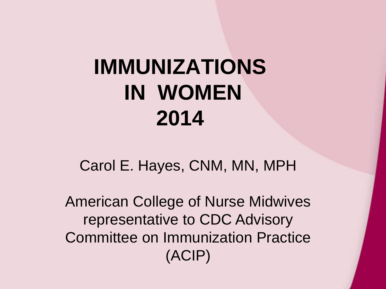#### **IMMUNIZATIONS IN WOMEN 2014**

Carol E. Hayes, CNM, MN, MPH

American College of Nurse Midwives representative to CDC Advisory Committee on Immunization Practice (ACIP)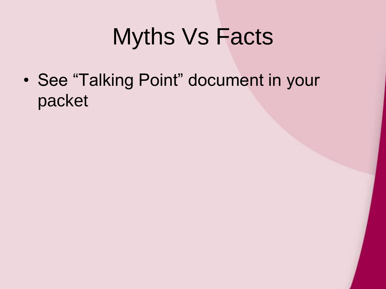#### Myths Vs Facts

• See "Talking Point" document in your packet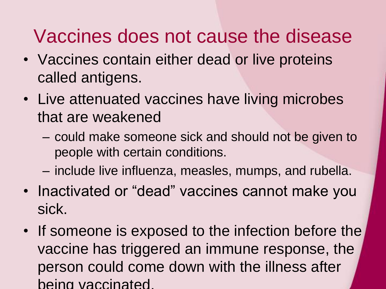#### Vaccines does not cause the disease

- Vaccines contain either dead or live proteins called antigens.
- Live attenuated vaccines have living microbes that are weakened
	- could make someone sick and should not be given to people with certain conditions.
	- include live influenza, measles, mumps, and rubella.
- Inactivated or "dead" vaccines cannot make you sick.
- If someone is exposed to the infection before the vaccine has triggered an immune response, the person could come down with the illness after being vaccinated.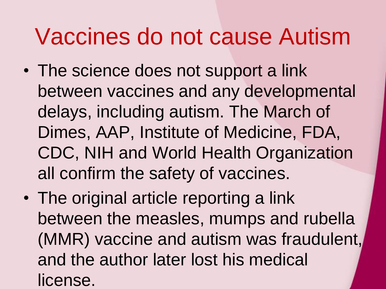#### Vaccines do not cause Autism

- The science does not support a link between vaccines and any developmental delays, including autism. The March of Dimes, AAP, Institute of Medicine, FDA, CDC, NIH and World Health Organization all confirm the safety of vaccines.
- The original article reporting a link between the measles, mumps and rubella (MMR) vaccine and autism was fraudulent, and the author later lost his medical license.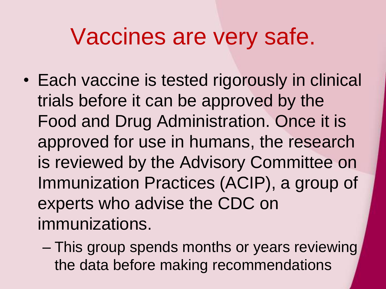#### Vaccines are very safe.

- Each vaccine is tested rigorously in clinical trials before it can be approved by the Food and Drug Administration. Once it is approved for use in humans, the research is reviewed by the Advisory Committee on Immunization Practices (ACIP), a group of experts who advise the CDC on immunizations.
	- This group spends months or years reviewing the data before making recommendations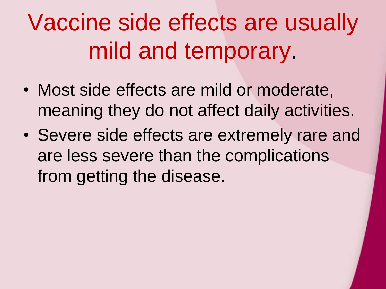Vaccine side effects are usually mild and temporary.

- Most side effects are mild or moderate, meaning they do not affect daily activities.
- Severe side effects are extremely rare and are less severe than the complications from getting the disease.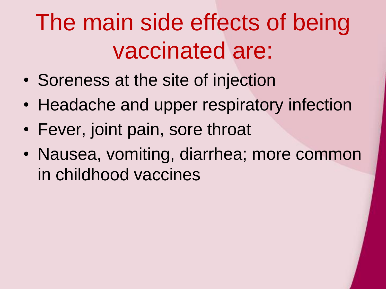## The main side effects of being vaccinated are:

- Soreness at the site of injection
- Headache and upper respiratory infection
- Fever, joint pain, sore throat
- Nausea, vomiting, diarrhea; more common in childhood vaccines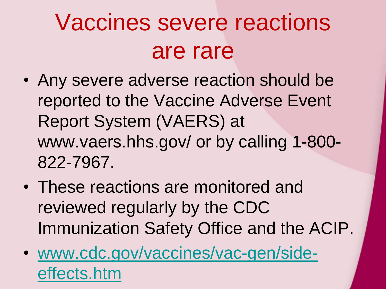## Vaccines severe reactions are rare

- Any severe adverse reaction should be reported to the Vaccine Adverse Event Report System (VAERS) at www.vaers.hhs.gov/ or by calling 1-800- 822-7967.
- These reactions are monitored and reviewed regularly by the CDC Immunization Safety Office and the ACIP.
- [www.cdc.gov/vaccines/vac-gen/side](http://www.cdc.gov/vaccines/vac-gen/side-effects.htm)effects.htm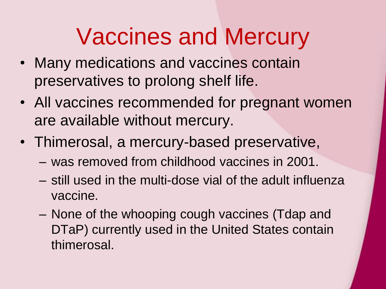#### Vaccines and Mercury

- Many medications and vaccines contain preservatives to prolong shelf life.
- All vaccines recommended for pregnant women are available without mercury.
- Thimerosal, a mercury-based preservative,
	- was removed from childhood vaccines in 2001.
	- still used in the multi-dose vial of the adult influenza vaccine.
	- None of the whooping cough vaccines (Tdap and DTaP) currently used in the United States contain thimerosal.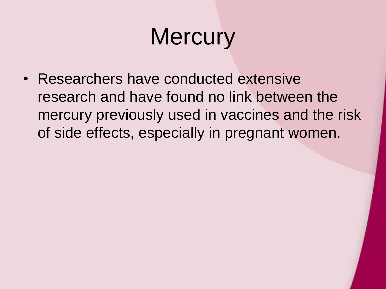## **Mercury**

• Researchers have conducted extensive research and have found no link between the mercury previously used in vaccines and the risk of side effects, especially in pregnant women.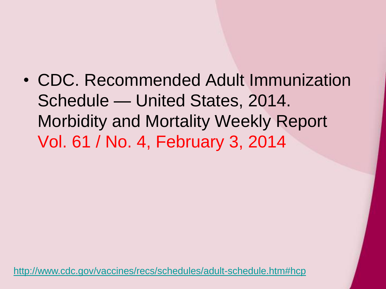• CDC. Recommended Adult Immunization Schedule — United States, 2014. Morbidity and Mortality Weekly Report Vol. 61 / No. 4, February 3, 2014

<http://www.cdc.gov/vaccines/recs/schedules/adult-schedule.htm#hcp>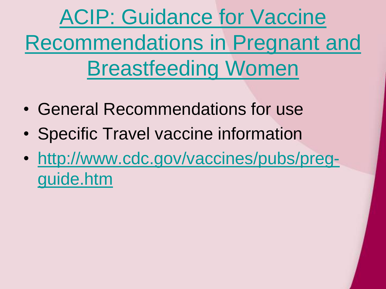ACIP: Guidance for Vaccine [Recommendations in Pregnant and](http://www.cdc.gov/vaccines/recs/acip/rec-vac-preg.htm)  Breastfeeding Women

- General Recommendations for use
- Specific Travel vaccine information
- [http://www.cdc.gov/vaccines/pubs/preg](http://www.cdc.gov/vaccines/pubs/preg-guide.htm)guide.htm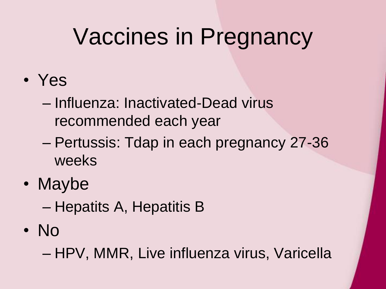#### Vaccines in Pregnancy

- Yes
	- Influenza: Inactivated-Dead virus recommended each year
	- Pertussis: Tdap in each pregnancy 27-36 weeks
- Maybe
	- Hepatits A, Hepatitis B
- No

– HPV, MMR, Live influenza virus, Varicella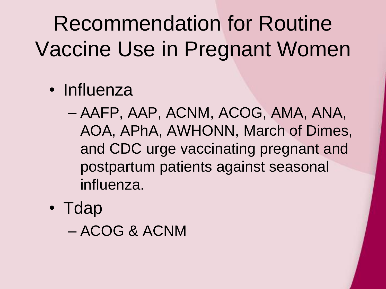Recommendation for Routine Vaccine Use in Pregnant Women

- Influenza
	- AAFP, AAP, ACNM, ACOG, AMA, ANA, AOA, APhA, AWHONN, March of Dimes, and CDC urge vaccinating pregnant and postpartum patients against seasonal influenza.
- Tdap

– ACOG & ACNM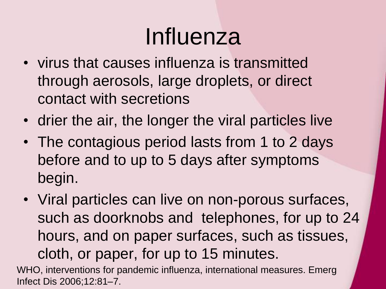#### Influenza

- virus that causes influenza is transmitted through aerosols, large droplets, or direct contact with secretions
- drier the air, the longer the viral particles live
- The contagious period lasts from 1 to 2 days before and to up to 5 days after symptoms begin.
- Viral particles can live on non-porous surfaces, such as doorknobs and telephones, for up to 24 hours, and on paper surfaces, such as tissues, cloth, or paper, for up to 15 minutes.

WHO, interventions for pandemic influenza, international measures. Emerg Infect Dis 2006;12:81–7.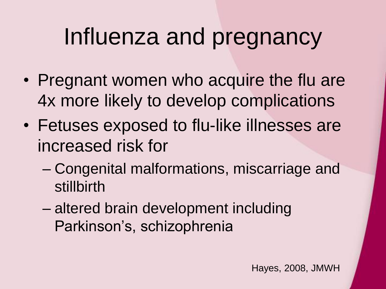#### Influenza and pregnancy

- Pregnant women who acquire the flu are 4x more likely to develop complications
- Fetuses exposed to flu-like illnesses are increased risk for
	- Congenital malformations, miscarriage and stillbirth
	- altered brain development including Parkinson's, schizophrenia

Hayes, 2008, JMWH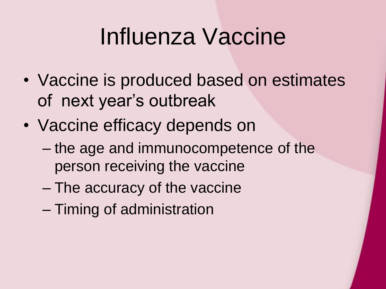#### Influenza Vaccine

- Vaccine is produced based on estimates of next year's outbreak
- Vaccine efficacy depends on
	- the age and immunocompetence of the person receiving the vaccine
	- The accuracy of the vaccine
	- Timing of administration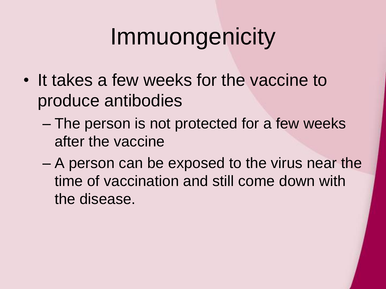## Immuongenicity

- It takes a few weeks for the vaccine to produce antibodies
	- The person is not protected for a few weeks after the vaccine
	- A person can be exposed to the virus near the time of vaccination and still come down with the disease.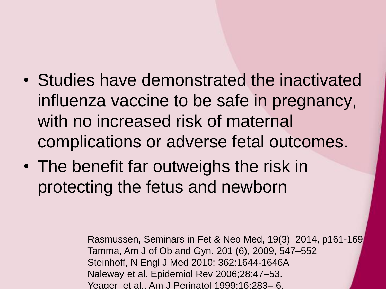- Studies have demonstrated the inactivated influenza vaccine to be safe in pregnancy, with no increased risk of maternal complications or adverse fetal outcomes.
- The benefit far outweighs the risk in protecting the fetus and newborn

Rasmussen, Seminars in Fet & Neo Med, 19(3) 2014, p161-169 Tamma, Am J of Ob and Gyn. 201 (6), 2009, 547–552 Steinhoff, N Engl J Med 2010; 362:1644-1646A Naleway et al. Epidemiol Rev 2006;28:47–53. Yeager et al.. Am J Perinatol 1999;16:283– 6.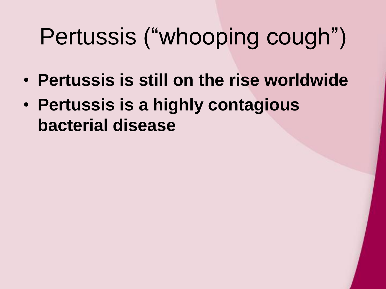## Pertussis ("whooping cough")

- **Pertussis is still on the rise worldwide**
- **Pertussis is a highly contagious bacterial disease**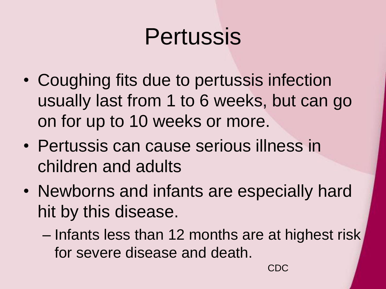#### Pertussis

- Coughing fits due to pertussis infection usually last from 1 to 6 weeks, but can go on for up to 10 weeks or more.
- Pertussis can cause serious illness in children and adults
- Newborns and infants are especially hard hit by this disease.
	- Infants less than 12 months are at highest risk for severe disease and death.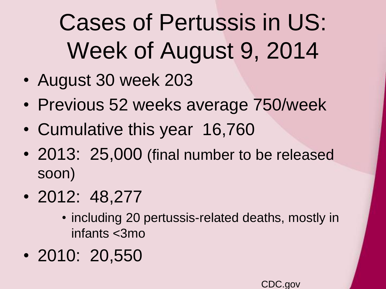## Cases of Pertussis in US: Week of August 9, 2014

- August 30 week 203
- Previous 52 weeks average 750/week
- Cumulative this year 16,760
- 2013: 25,000 (final number to be released soon)
- 2012: 48,277
	- including 20 pertussis-related deaths, mostly in infants <3mo
- 2010: 20,550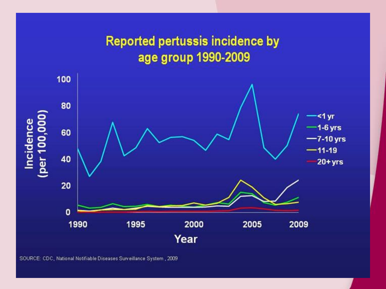#### **Reported pertussis incidence by** age group 1990-2009 100 80 Incidence<br>(per 100,000)  $<1$  yr  $-1-6$  yrs 60  $-7-10$  yrs  $-11-19$ 40  $20 + yrs$ 20  $\mathbf{0}$ 1990 1995 2000 2005 2009 Year

SOURCE: CDC, National Notifiable Diseases Surveillance System, 2009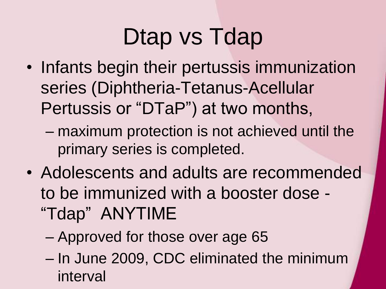## Dtap vs Tdap

- Infants begin their pertussis immunization series (Diphtheria-Tetanus-Acellular Pertussis or "DTaP") at two months,
	- maximum protection is not achieved until the primary series is completed.
- Adolescents and adults are recommended to be immunized with a booster dose - "Tdap" ANYTIME
	- Approved for those over age 65
	- In June 2009, CDC eliminated the minimum interval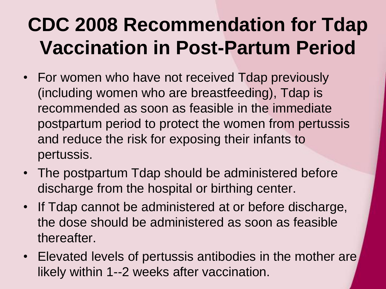#### **CDC 2008 Recommendation for Tdap Vaccination in Post-Partum Period**

- For women who have not received Tdap previously (including women who are breastfeeding), Tdap is recommended as soon as feasible in the immediate postpartum period to protect the women from pertussis and reduce the risk for exposing their infants to pertussis.
- The postpartum Tdap should be administered before discharge from the hospital or birthing center.
- If Tdap cannot be administered at or before discharge, the dose should be administered as soon as feasible thereafter.
- Elevated levels of pertussis antibodies in the mother are likely within 1--2 weeks after vaccination.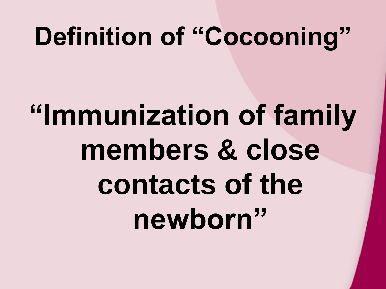## **Definition of "Cocooning"**

# **"Immunization of family members & close contacts of the newborn"**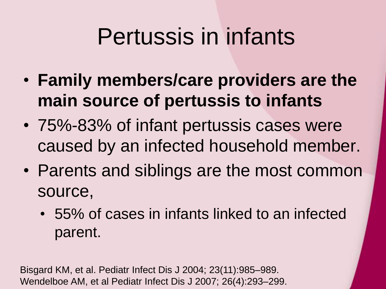#### Pertussis in infants

- **Family members/care providers are the main source of pertussis to infants**
- 75%-83% of infant pertussis cases were caused by an infected household member.
- Parents and siblings are the most common source,
	- 55% of cases in infants linked to an infected parent.

Bisgard KM, et al. Pediatr Infect Dis J 2004; 23(11):985–989. Wendelboe AM, et al Pediatr Infect Dis J 2007; 26(4):293–299.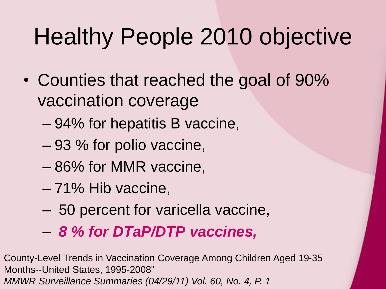## Healthy People 2010 objective

- Counties that reached the goal of 90% vaccination coverage
	- 94% for hepatitis B vaccine,
	- 93 % for polio vaccine,
	- 86% for MMR vaccine,
	- 71% Hib vaccine,
	- 50 percent for varicella vaccine,
	- *8 % for DTaP/DTP vaccines,*

County-Level Trends in Vaccination Coverage Among Children Aged 19-35 Months--United States, 1995-2008" *MMWR Surveillance Summaries (04/29/11) Vol. 60, No. 4, P. 1*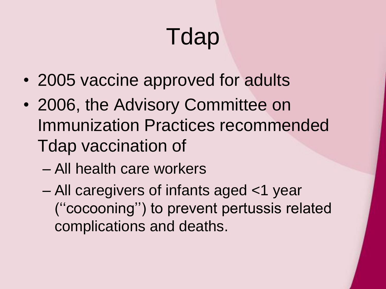# Tdap

- 2005 vaccine approved for adults
- 2006, the Advisory Committee on Immunization Practices recommended Tdap vaccination of
	- All health care workers
	- All caregivers of infants aged <1 year (''cocooning'') to prevent pertussis related complications and deaths.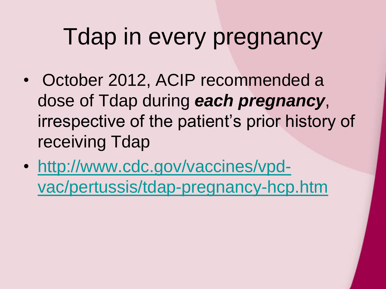#### Tdap in every pregnancy

- October 2012, ACIP recommended a dose of Tdap during *each pregnancy*, irrespective of the patient's prior history of receiving Tdap
- http://www.cdc.gov/vaccines/vpd[vac/pertussis/tdap-pregnancy-hcp.htm](http://www.cdc.gov/vaccines/vpd-vac/pertussis/tdap-pregnancy-hcp.htm)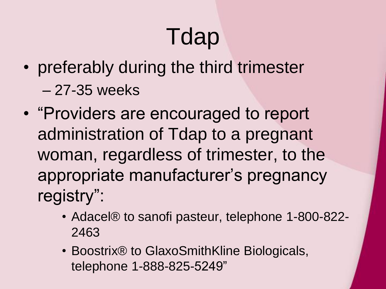## Tdap

- preferably during the third trimester – 27-35 weeks
- "Providers are encouraged to report administration of Tdap to a pregnant woman, regardless of trimester, to the appropriate manufacturer's pregnancy registry":
	- Adacel® to sanofi pasteur, telephone 1-800-822- 2463
	- Boostrix® to GlaxoSmithKline Biologicals, telephone 1-888-825-5249"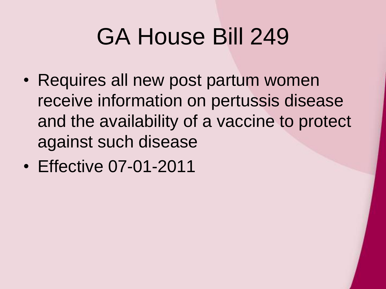#### GA House Bill 249

- Requires all new post partum women receive information on pertussis disease and the availability of a vaccine to protect against such disease
- Effective 07-01-2011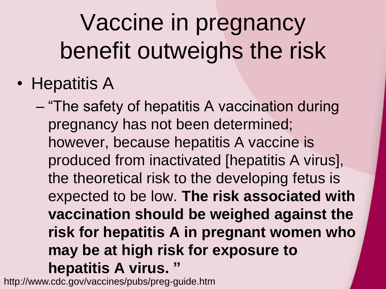## Vaccine in pregnancy benefit outweighs the risk

• Hepatitis A

– "The safety of hepatitis A vaccination during pregnancy has not been determined; however, because hepatitis A vaccine is produced from inactivated [hepatitis A virus], the theoretical risk to the developing fetus is expected to be low. **The risk associated with vaccination should be weighed against the risk for hepatitis A in pregnant women who may be at high risk for exposure to hepatitis A virus. "**

http://www.cdc.gov/vaccines/pubs/preg-guide.htm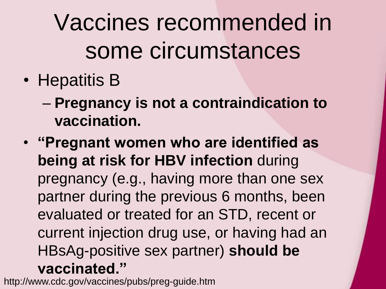Vaccines recommended in some circumstances

• Hepatitis B

– **Pregnancy is not a contraindication to vaccination.**

• **"Pregnant women who are identified as being at risk for HBV infection** during pregnancy (e.g., having more than one sex partner during the previous 6 months, been evaluated or treated for an STD, recent or current injection drug use, or having had an HBsAg-positive sex partner) **should be vaccinated."**

http://www.cdc.gov/vaccines/pubs/preg-guide.htm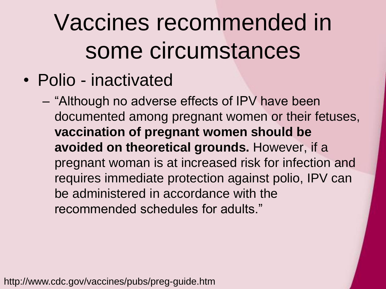## Vaccines recommended in some circumstances

- Polio inactivated
	- "Although no adverse effects of IPV have been documented among pregnant women or their fetuses, **vaccination of pregnant women should be avoided on theoretical grounds.** However, if a pregnant woman is at increased risk for infection and requires immediate protection against polio, IPV can be administered in accordance with the recommended schedules for adults."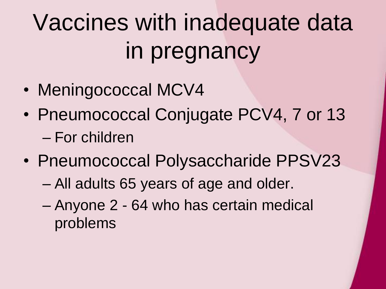## Vaccines with inadequate data in pregnancy

- Meningococcal MCV4
- Pneumococcal Conjugate PCV4, 7 or 13 – For children
- Pneumococcal Polysaccharide PPSV23
	- All adults 65 years of age and older.
	- Anyone 2 64 who has certain medical problems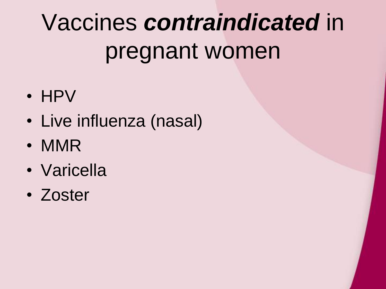## Vaccines *contraindicated* in pregnant women

- HPV
- Live influenza (nasal)
- MMR
- Varicella
- Zoster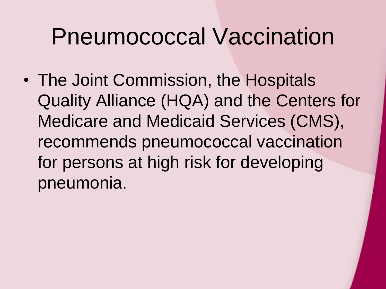#### Pneumococcal Vaccination

• The Joint Commission, the Hospitals Quality Alliance (HQA) and the Centers for Medicare and Medicaid Services (CMS), recommends pneumococcal vaccination for persons at high risk for developing pneumonia.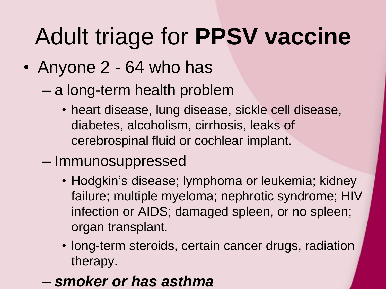## Adult triage for **PPSV vaccine**

#### • Anyone 2 - 64 who has

- a long-term health problem
	- heart disease, lung disease, sickle cell disease, diabetes, alcoholism, cirrhosis, leaks of cerebrospinal fluid or cochlear implant.
- Immunosuppressed
	- Hodgkin's disease; lymphoma or leukemia; kidney failure; multiple myeloma; nephrotic syndrome; HIV infection or AIDS; damaged spleen, or no spleen; organ transplant.
	- long-term steroids, certain cancer drugs, radiation therapy.
- *smoker or has asthma*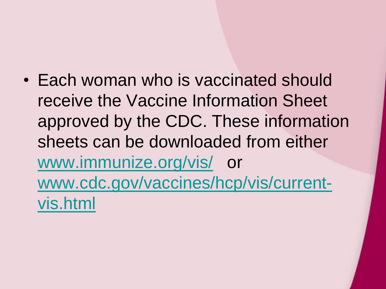• Each woman who is vaccinated should receive the Vaccine Information Sheet approved by the CDC. These information sheets can be downloaded from either [www.immunize.org/vis/](http://www.immunize.org/vis/) or [www.cdc.gov/vaccines/hcp/vis/current](http://www.cdc.gov/vaccines/hcp/vis/current-vis.html)vis.html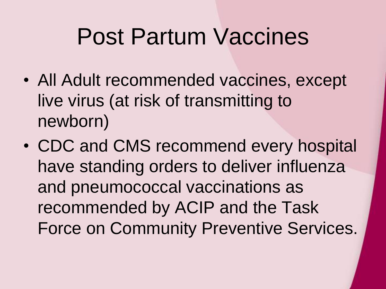#### Post Partum Vaccines

- All Adult recommended vaccines, except live virus (at risk of transmitting to newborn)
- CDC and CMS recommend every hospital have standing orders to deliver influenza and pneumococcal vaccinations as recommended by ACIP and the Task Force on Community Preventive Services.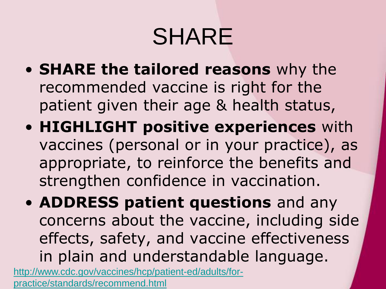## SHARE

- **SHARE the tailored reasons** why the recommended vaccine is right for the patient given their age & health status,
- **HIGHLIGHT positive experiences** with vaccines (personal or in your practice), as appropriate, to reinforce the benefits and strengthen confidence in vaccination.
- **ADDRESS patient questions** and any concerns about the vaccine, including side effects, safety, and vaccine effectiveness in plain and understandable language. [http://www.cdc.gov/vaccines/hcp/patient-ed/adults/for-](http://www.cdc.gov/vaccines/hcp/patient-ed/adults/for-practice/standards/recommend.html)

practice/standards/recommend.html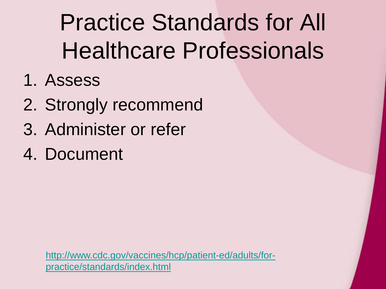Practice Standards for All Healthcare Professionals

- 1. Assess
- 2. Strongly recommend
- 3. Administer or refer
- 4. Document

[http://www.cdc.gov/vaccines/hcp/patient-ed/adults/for](http://www.cdc.gov/vaccines/hcp/patient-ed/adults/for-practice/standards/index.html)practice/standards/index.html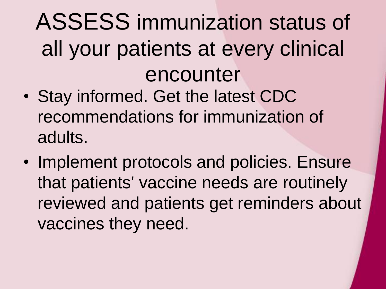## ASSESS immunization status of all your patients at every clinical encounter

- Stay informed. Get the latest CDC recommendations for immunization of adults.
- Implement protocols and policies. Ensure that patients' vaccine needs are routinely reviewed and patients get reminders about vaccines they need.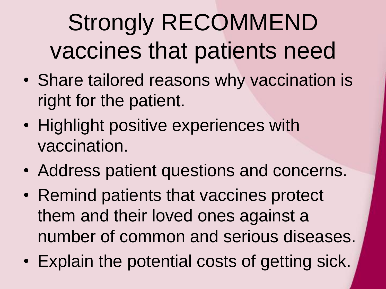## Strongly RECOMMEND vaccines that patients need

- Share tailored reasons why vaccination is right for the patient.
- Highlight positive experiences with vaccination.
- Address patient questions and concerns.
- Remind patients that vaccines protect them and their loved ones against a number of common and serious diseases.
- Explain the potential costs of getting sick.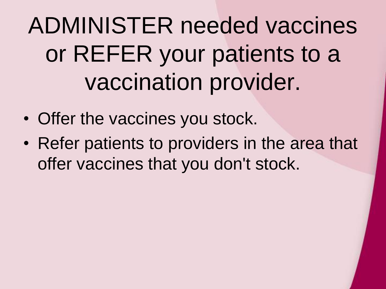## ADMINISTER needed vaccines or REFER your patients to a vaccination provider.

- Offer the vaccines you stock.
- Refer patients to providers in the area that offer vaccines that you don't stock.